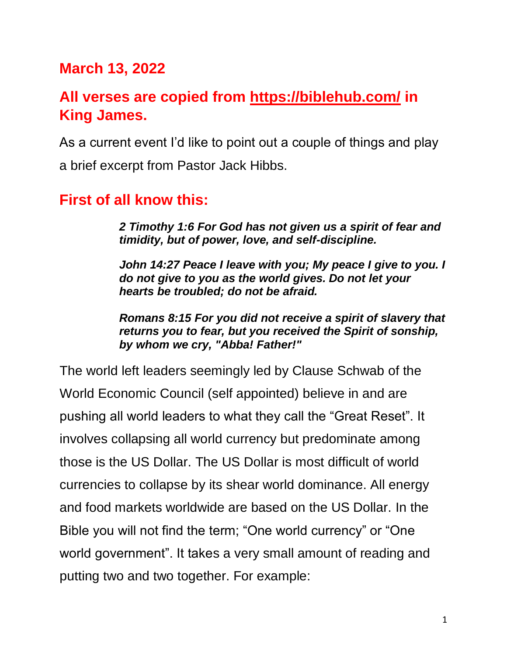# **March 13, 2022**

# **All verses are copied from https://biblehub.com/ in King James.**

As a current event I'd like to point out a couple of things and play a brief excerpt from Pastor Jack Hibbs.

### **First of all know this:**

*2 Timothy 1:6 For God has not given us a spirit of fear and timidity, but of power, love, and self-discipline.*

*[John 14:27](https://biblehub.com/john/14-27.htm) Peace I leave with you; My peace I give to you. I do not give to you as the world gives. Do not let your hearts be troubled; do not be afraid.*

*[Romans 8:15](https://biblehub.com/romans/8-15.htm) For you did not receive a spirit of slavery that returns you to fear, but you received the Spirit of sonship, by whom we cry, "Abba! Father!"*

The world left leaders seemingly led by Clause Schwab of the World Economic Council (self appointed) believe in and are pushing all world leaders to what they call the "Great Reset". It involves collapsing all world currency but predominate among those is the US Dollar. The US Dollar is most difficult of world currencies to collapse by its shear world dominance. All energy and food markets worldwide are based on the US Dollar. In the Bible you will not find the term; "One world currency" or "One world government". It takes a very small amount of reading and putting two and two together. For example: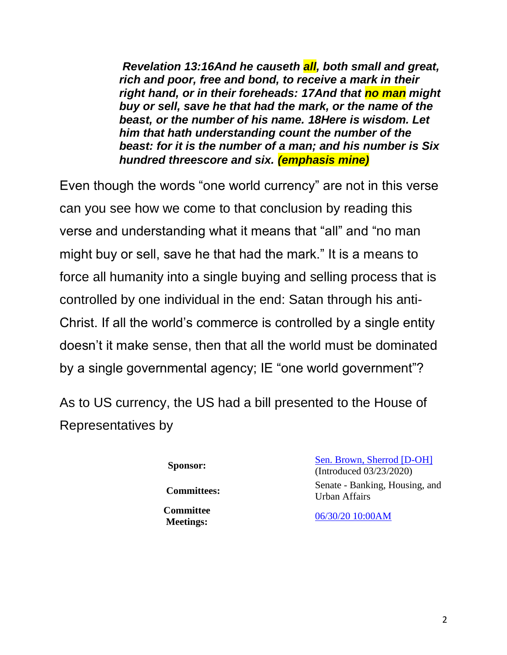*Revelation 13[:16A](https://biblehub.com/revelation/13-16.htm)nd he causeth all, both small and great, rich and poor, free and bond, to receive a mark in their right hand, or in their foreheads: [17A](https://biblehub.com/revelation/13-17.htm)nd that no man might buy or sell, save he that had the mark, or the name of the beast, or the number of his name. [18H](https://biblehub.com/revelation/13-18.htm)ere is wisdom. Let him that hath understanding count the number of the beast: for it is the number of a man; and his number is Six hundred threescore and six. (emphasis mine)*

Even though the words "one world currency" are not in this verse can you see how we come to that conclusion by reading this verse and understanding what it means that "all" and "no man might buy or sell, save he that had the mark." It is a means to force all humanity into a single buying and selling process that is controlled by one individual in the end: Satan through his anti-Christ. If all the world's commerce is controlled by a single entity doesn't it make sense, then that all the world must be dominated by a single governmental agency; IE "one world government"?

As to US currency, the US had a bill presented to the House of Representatives by

**Committee** 

**Sponsor:** [Sen. Brown, Sherrod \[D-OH\]](https://www.congress.gov/member/sherrod-brown/B000944) (Introduced 03/23/2020) **Committees:** Senate - Banking, Housing, and Urban Affairs

**Meetings:** [06/30/20 10:00AM](https://www.congress.gov/event/116th-congress/S/327614)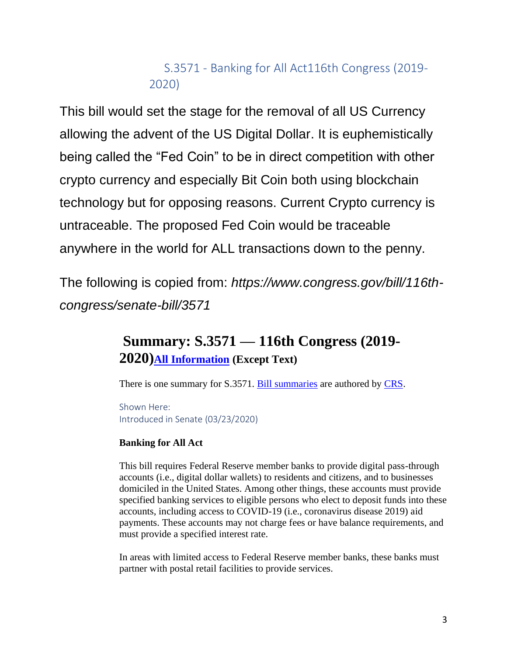### S.3571 - Banking for All Act116th Congress (2019- 2020)

This bill would set the stage for the removal of all US Currency allowing the advent of the US Digital Dollar. It is euphemistically being called the "Fed Coin" to be in direct competition with other crypto currency and especially Bit Coin both using blockchain technology but for opposing reasons. Current Crypto currency is untraceable. The proposed Fed Coin would be traceable anywhere in the world for ALL transactions down to the penny.

The following is copied from: *https://www.congress.gov/bill/116thcongress/senate-bill/3571*

# **Summary: S.3571 — 116th Congress (2019- 2020)[All Information](https://www.congress.gov/bill/116th-congress/senate-bill/3571/all-info) (Except Text)**

There is one summary for S.3571. [Bill summaries](https://www.congress.gov/help/legislative-glossary#glossary_billsummary) are authored by [CRS.](https://www.congress.gov/help/legislative-glossary#glossary_crs)

Shown Here: Introduced in Senate (03/23/2020)

#### **Banking for All Act**

This bill requires Federal Reserve member banks to provide digital pass-through accounts (i.e., digital dollar wallets) to residents and citizens, and to businesses domiciled in the United States. Among other things, these accounts must provide specified banking services to eligible persons who elect to deposit funds into these accounts, including access to COVID-19 (i.e., coronavirus disease 2019) aid payments. These accounts may not charge fees or have balance requirements, and must provide a specified interest rate.

In areas with limited access to Federal Reserve member banks, these banks must partner with postal retail facilities to provide services.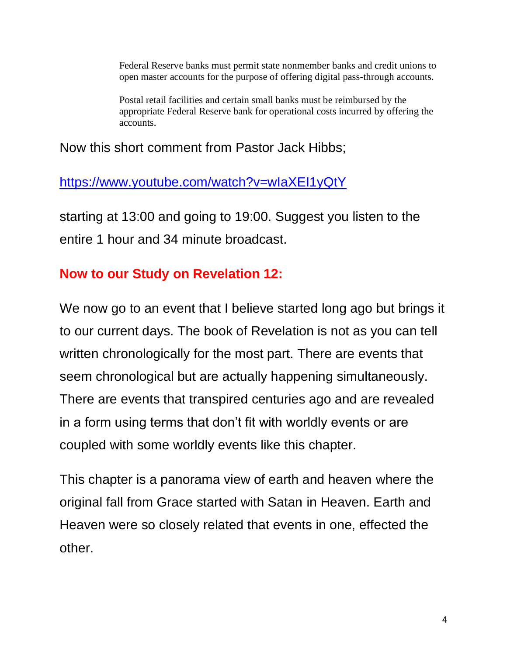Federal Reserve banks must permit state nonmember banks and credit unions to open master accounts for the purpose of offering digital pass-through accounts.

Postal retail facilities and certain small banks must be reimbursed by the appropriate Federal Reserve bank for operational costs incurred by offering the accounts.

### Now this short comment from Pastor Jack Hibbs;

### <https://www.youtube.com/watch?v=wIaXEI1yQtY>

starting at 13:00 and going to 19:00. Suggest you listen to the entire 1 hour and 34 minute broadcast.

### **Now to our Study on Revelation 12:**

We now go to an event that I believe started long ago but brings it to our current days. The book of Revelation is not as you can tell written chronologically for the most part. There are events that seem chronological but are actually happening simultaneously. There are events that transpired centuries ago and are revealed in a form using terms that don't fit with worldly events or are coupled with some worldly events like this chapter.

This chapter is a panorama view of earth and heaven where the original fall from Grace started with Satan in Heaven. Earth and Heaven were so closely related that events in one, effected the other.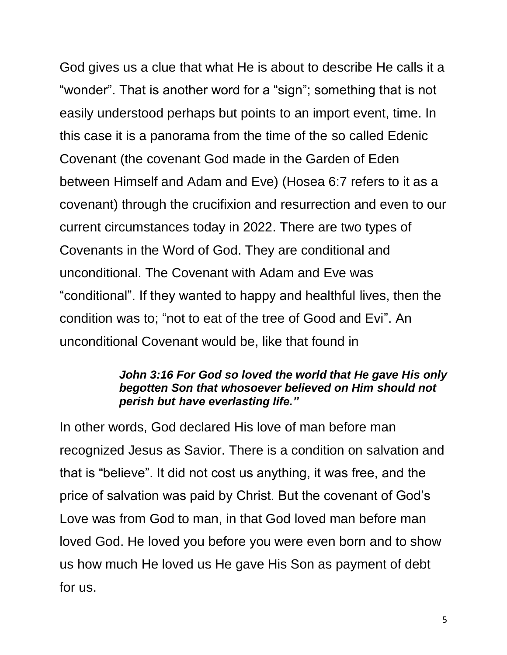God gives us a clue that what He is about to describe He calls it a "wonder". That is another word for a "sign"; something that is not easily understood perhaps but points to an import event, time. In this case it is a panorama from the time of the so called Edenic Covenant (the covenant God made in the Garden of Eden between Himself and Adam and Eve) (Hosea 6:7 refers to it as a covenant) through the crucifixion and resurrection and even to our current circumstances today in 2022. There are two types of Covenants in the Word of God. They are conditional and unconditional. The Covenant with Adam and Eve was "conditional". If they wanted to happy and healthful lives, then the condition was to; "not to eat of the tree of Good and Evi". An unconditional Covenant would be, like that found in

#### *John 3:16 For God so loved the world that He gave His only begotten Son that whosoever believed on Him should not perish but have everlasting life."*

In other words, God declared His love of man before man recognized Jesus as Savior. There is a condition on salvation and that is "believe". It did not cost us anything, it was free, and the price of salvation was paid by Christ. But the covenant of God's Love was from God to man, in that God loved man before man loved God. He loved you before you were even born and to show us how much He loved us He gave His Son as payment of debt for us.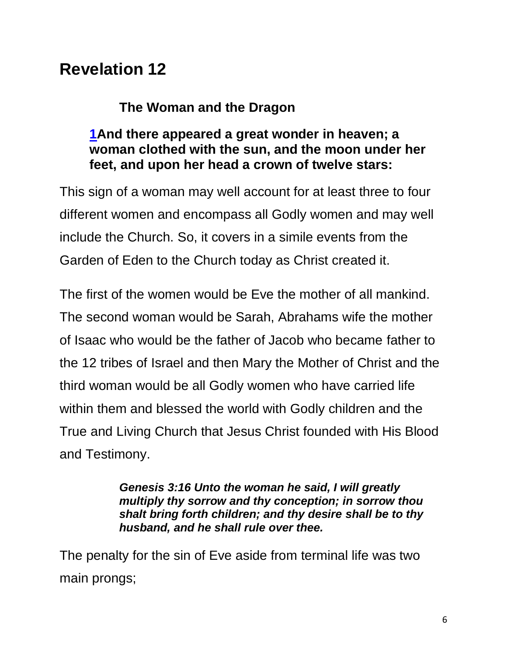# **Revelation 12**

### **The Woman and the Dragon**

### **[1A](https://biblehub.com/revelation/12-1.htm)nd there appeared a great wonder in heaven; a woman clothed with the sun, and the moon under her feet, and upon her head a crown of twelve stars:**

This sign of a woman may well account for at least three to four different women and encompass all Godly women and may well include the Church. So, it covers in a simile events from the Garden of Eden to the Church today as Christ created it.

The first of the women would be Eve the mother of all mankind. The second woman would be Sarah, Abrahams wife the mother of Isaac who would be the father of Jacob who became father to the 12 tribes of Israel and then Mary the Mother of Christ and the third woman would be all Godly women who have carried life within them and blessed the world with Godly children and the True and Living Church that Jesus Christ founded with His Blood and Testimony.

> *Genesis 3:16 Unto the woman he said, I will greatly multiply thy sorrow and thy conception; in sorrow thou shalt bring forth children; and thy desire shall be to thy husband, and he shall rule over thee.*

The penalty for the sin of Eve aside from terminal life was two main prongs;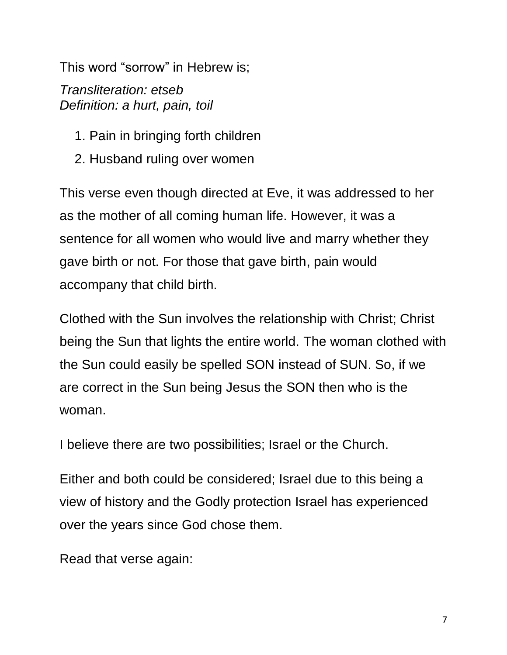This word "sorrow" in Hebrew is;

*Transliteration: etseb Definition: a hurt, pain, toil*

- 1. Pain in bringing forth children
- 2. Husband ruling over women

This verse even though directed at Eve, it was addressed to her as the mother of all coming human life. However, it was a sentence for all women who would live and marry whether they gave birth or not. For those that gave birth, pain would accompany that child birth.

Clothed with the Sun involves the relationship with Christ; Christ being the Sun that lights the entire world. The woman clothed with the Sun could easily be spelled SON instead of SUN. So, if we are correct in the Sun being Jesus the SON then who is the woman.

I believe there are two possibilities; Israel or the Church.

Either and both could be considered; Israel due to this being a view of history and the Godly protection Israel has experienced over the years since God chose them.

Read that verse again: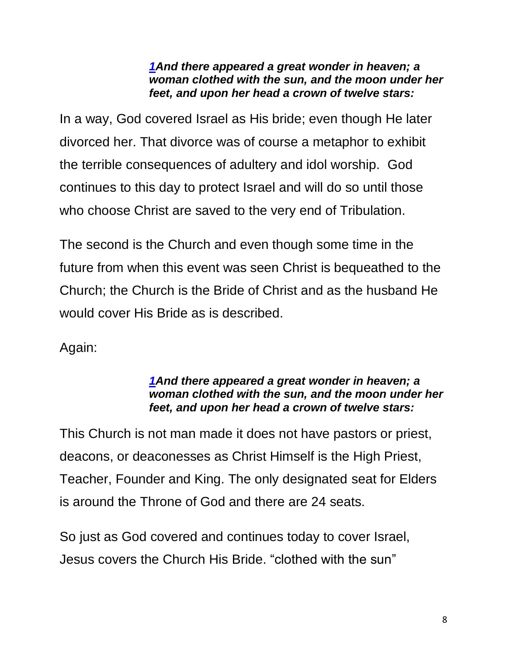#### *[1A](https://biblehub.com/revelation/12-1.htm)nd there appeared a great wonder in heaven; a woman clothed with the sun, and the moon under her feet, and upon her head a crown of twelve stars:*

In a way, God covered Israel as His bride; even though He later divorced her. That divorce was of course a metaphor to exhibit the terrible consequences of adultery and idol worship. God continues to this day to protect Israel and will do so until those who choose Christ are saved to the very end of Tribulation.

The second is the Church and even though some time in the future from when this event was seen Christ is bequeathed to the Church; the Church is the Bride of Christ and as the husband He would cover His Bride as is described.

Again:

#### *[1A](https://biblehub.com/revelation/12-1.htm)nd there appeared a great wonder in heaven; a woman clothed with the sun, and the moon under her feet, and upon her head a crown of twelve stars:*

This Church is not man made it does not have pastors or priest, deacons, or deaconesses as Christ Himself is the High Priest, Teacher, Founder and King. The only designated seat for Elders is around the Throne of God and there are 24 seats.

So just as God covered and continues today to cover Israel, Jesus covers the Church His Bride. "clothed with the sun"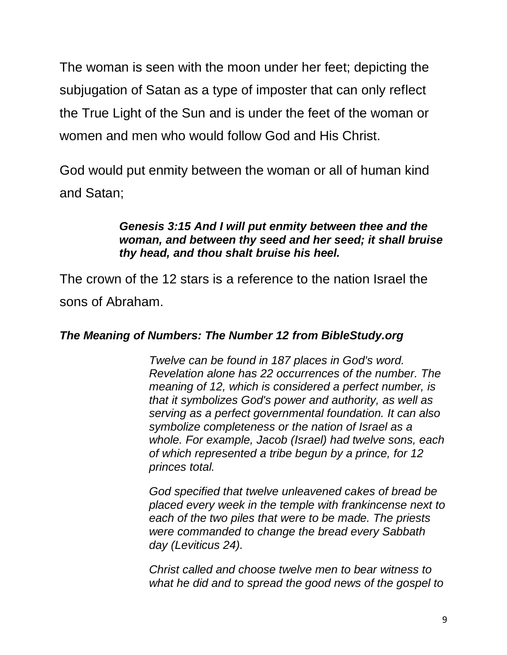The woman is seen with the moon under her feet; depicting the subjugation of Satan as a type of imposter that can only reflect the True Light of the Sun and is under the feet of the woman or women and men who would follow God and His Christ.

God would put enmity between the woman or all of human kind and Satan;

#### *Genesis 3:15 And I will put enmity between thee and the woman, and between thy seed and her seed; it shall bruise thy head, and thou shalt bruise his heel.*

The crown of the 12 stars is a reference to the nation Israel the sons of Abraham.

#### *The Meaning of Numbers: The Number 12 from BibleStudy.org*

*Twelve can be found in 187 places in God's word. Revelation alone has 22 occurrences of the number. The meaning of 12, which is considered a perfect number, is that it symbolizes God's power and authority, as well as serving as a perfect governmental foundation. It can also symbolize completeness or the nation of Israel as a whole. For example, Jacob (Israel) had twelve sons, each of which represented a tribe begun by a prince, for 12 princes total.* 

*God specified that twelve unleavened cakes of bread be placed every week in the temple with frankincense next to each of the two piles that were to be made. The priests were commanded to change the bread every Sabbath day (Leviticus 24).* 

*Christ called and choose twelve men to bear witness to what he did and to spread the good news of the gospel to*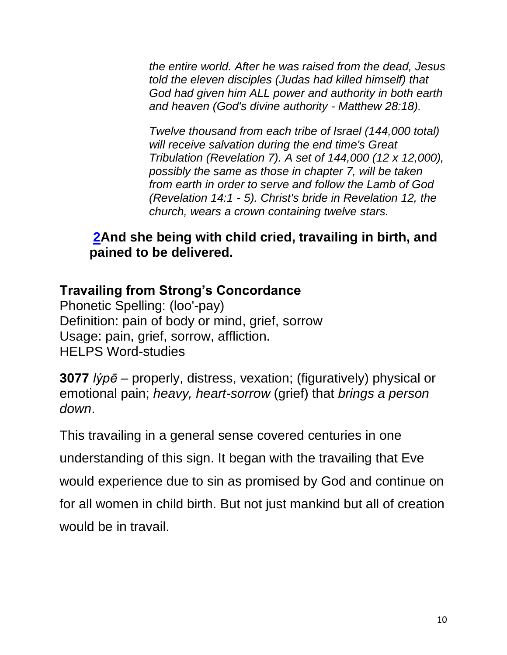*the entire world. After he was raised from the dead, Jesus told the eleven disciples (Judas had killed himself) that God had given him ALL power and authority in both earth and heaven (God's divine authority - Matthew 28:18).*

*Twelve thousand from each tribe of Israel (144,000 total) will receive salvation during the end time's Great Tribulation (Revelation 7). A set of 144,000 (12 x 12,000), possibly the same as those in chapter 7, will be taken from earth in order to serve and follow the Lamb of God (Revelation 14:1 - 5). Christ's bride in Revelation 12, the church, wears a crown containing twelve stars.*

### **[2A](https://biblehub.com/revelation/12-2.htm)nd she being with child cried, travailing in birth, and pained to be delivered.**

### **Travailing from Strong's Concordance**

Phonetic Spelling: (loo'-pay) Definition: pain of body or mind, grief, sorrow Usage: pain, grief, sorrow, affliction. HELPS Word-studies

**3077** *lýpē* – properly, distress, vexation; (figuratively) physical or emotional pain; *heavy, heart-sorrow* (grief) that *brings a person down*.

This travailing in a general sense covered centuries in one understanding of this sign. It began with the travailing that Eve would experience due to sin as promised by God and continue on for all women in child birth. But not just mankind but all of creation would be in travail.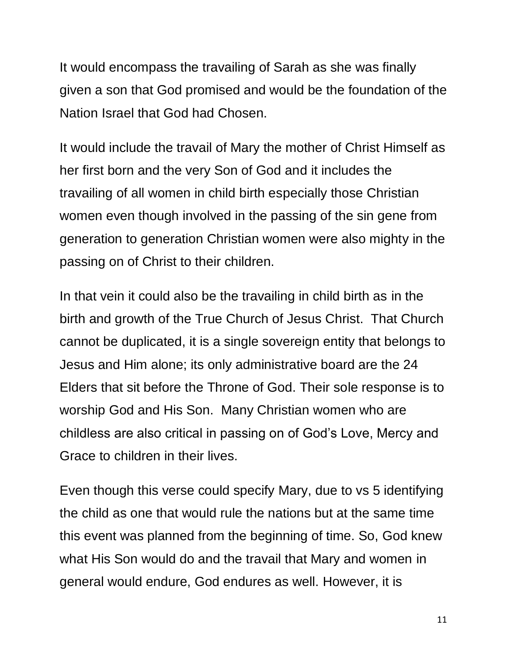It would encompass the travailing of Sarah as she was finally given a son that God promised and would be the foundation of the Nation Israel that God had Chosen.

It would include the travail of Mary the mother of Christ Himself as her first born and the very Son of God and it includes the travailing of all women in child birth especially those Christian women even though involved in the passing of the sin gene from generation to generation Christian women were also mighty in the passing on of Christ to their children.

In that vein it could also be the travailing in child birth as in the birth and growth of the True Church of Jesus Christ. That Church cannot be duplicated, it is a single sovereign entity that belongs to Jesus and Him alone; its only administrative board are the 24 Elders that sit before the Throne of God. Their sole response is to worship God and His Son. Many Christian women who are childless are also critical in passing on of God's Love, Mercy and Grace to children in their lives.

Even though this verse could specify Mary, due to vs 5 identifying the child as one that would rule the nations but at the same time this event was planned from the beginning of time. So, God knew what His Son would do and the travail that Mary and women in general would endure, God endures as well. However, it is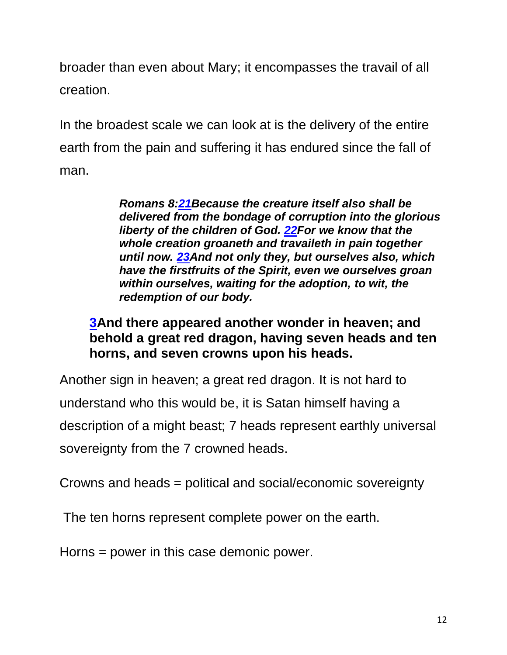broader than even about Mary; it encompasses the travail of all creation.

In the broadest scale we can look at is the delivery of the entire earth from the pain and suffering it has endured since the fall of man.

> *Romans 8[:21B](https://biblehub.com/romans/8-21.htm)ecause the creature itself also shall be delivered from the bondage of corruption into the glorious liberty of the children of God. [22F](https://biblehub.com/romans/8-22.htm)or we know that the whole creation groaneth and travaileth in pain together until now. [23A](https://biblehub.com/romans/8-23.htm)nd not only they, but ourselves also, which have the firstfruits of the Spirit, even we ourselves groan within ourselves, waiting for the adoption, to wit, the redemption of our body.*

### **[3A](https://biblehub.com/revelation/12-3.htm)nd there appeared another wonder in heaven; and behold a great red dragon, having seven heads and ten horns, and seven crowns upon his heads.**

Another sign in heaven; a great red dragon. It is not hard to understand who this would be, it is Satan himself having a description of a might beast; 7 heads represent earthly universal

sovereignty from the 7 crowned heads.

Crowns and heads = political and social/economic sovereignty

The ten horns represent complete power on the earth.

Horns = power in this case demonic power.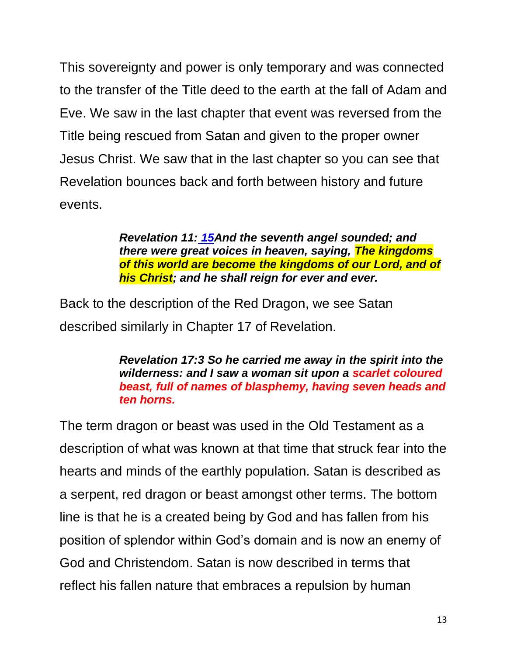This sovereignty and power is only temporary and was connected to the transfer of the Title deed to the earth at the fall of Adam and Eve. We saw in the last chapter that event was reversed from the Title being rescued from Satan and given to the proper owner Jesus Christ. We saw that in the last chapter so you can see that Revelation bounces back and forth between history and future events.

> *Revelation 11: [15A](https://biblehub.com/revelation/11-15.htm)nd the seventh angel sounded; and there were great voices in heaven, saying, The kingdoms of this world are become the kingdoms of our Lord, and of his Christ; and he shall reign for ever and ever.*

Back to the description of the Red Dragon, we see Satan described similarly in Chapter 17 of Revelation.

> *Revelation 17:3 So he carried me away in the spirit into the wilderness: and I saw a woman sit upon a scarlet coloured beast, full of names of blasphemy, having seven heads and ten horns.*

The term dragon or beast was used in the Old Testament as a description of what was known at that time that struck fear into the hearts and minds of the earthly population. Satan is described as a serpent, red dragon or beast amongst other terms. The bottom line is that he is a created being by God and has fallen from his position of splendor within God's domain and is now an enemy of God and Christendom. Satan is now described in terms that reflect his fallen nature that embraces a repulsion by human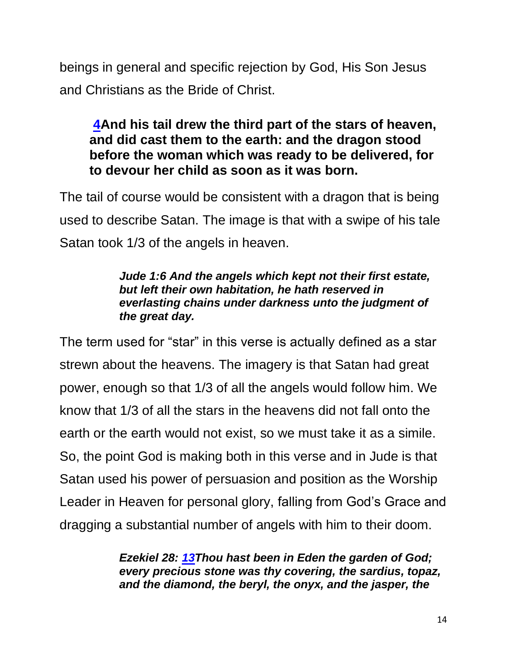beings in general and specific rejection by God, His Son Jesus and Christians as the Bride of Christ.

### **[4A](https://biblehub.com/revelation/12-4.htm)nd his tail drew the third part of the stars of heaven, and did cast them to the earth: and the dragon stood before the woman which was ready to be delivered, for to devour her child as soon as it was born.**

The tail of course would be consistent with a dragon that is being used to describe Satan. The image is that with a swipe of his tale Satan took 1/3 of the angels in heaven.

#### *Jude 1:6 And the angels which kept not their first estate, but left their own habitation, he hath reserved in everlasting chains under darkness unto the judgment of the great day.*

The term used for "star" in this verse is actually defined as a star strewn about the heavens. The imagery is that Satan had great power, enough so that 1/3 of all the angels would follow him. We know that 1/3 of all the stars in the heavens did not fall onto the earth or the earth would not exist, so we must take it as a simile. So, the point God is making both in this verse and in Jude is that Satan used his power of persuasion and position as the Worship Leader in Heaven for personal glory, falling from God's Grace and dragging a substantial number of angels with him to their doom.

> *Ezekiel 28: [13T](https://biblehub.com/ezekiel/28-13.htm)hou hast been in Eden the garden of God; every precious stone was thy covering, the sardius, topaz, and the diamond, the beryl, the onyx, and the jasper, the*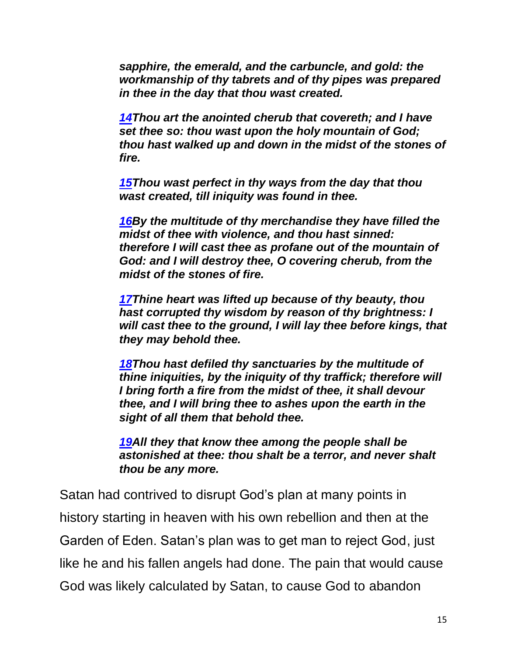*sapphire, the emerald, and the carbuncle, and gold: the workmanship of thy tabrets and of thy pipes was prepared in thee in the day that thou wast created.*

*[14T](https://biblehub.com/ezekiel/28-14.htm)hou art the anointed cherub that covereth; and I have set thee so: thou wast upon the holy mountain of God; thou hast walked up and down in the midst of the stones of fire.*

*[15T](https://biblehub.com/ezekiel/28-15.htm)hou wast perfect in thy ways from the day that thou wast created, till iniquity was found in thee.*

*[16B](https://biblehub.com/ezekiel/28-16.htm)y the multitude of thy merchandise they have filled the midst of thee with violence, and thou hast sinned: therefore I will cast thee as profane out of the mountain of God: and I will destroy thee, O covering cherub, from the midst of the stones of fire.*

*[17T](https://biblehub.com/ezekiel/28-17.htm)hine heart was lifted up because of thy beauty, thou hast corrupted thy wisdom by reason of thy brightness: I will cast thee to the ground, I will lay thee before kings, that they may behold thee.*

*[18T](https://biblehub.com/ezekiel/28-18.htm)hou hast defiled thy sanctuaries by the multitude of thine iniquities, by the iniquity of thy traffick; therefore will I bring forth a fire from the midst of thee, it shall devour thee, and I will bring thee to ashes upon the earth in the sight of all them that behold thee.*

*[19A](https://biblehub.com/ezekiel/28-19.htm)ll they that know thee among the people shall be astonished at thee: thou shalt be a terror, and never shalt thou be any more.*

Satan had contrived to disrupt God's plan at many points in history starting in heaven with his own rebellion and then at the Garden of Eden. Satan's plan was to get man to reject God, just like he and his fallen angels had done. The pain that would cause God was likely calculated by Satan, to cause God to abandon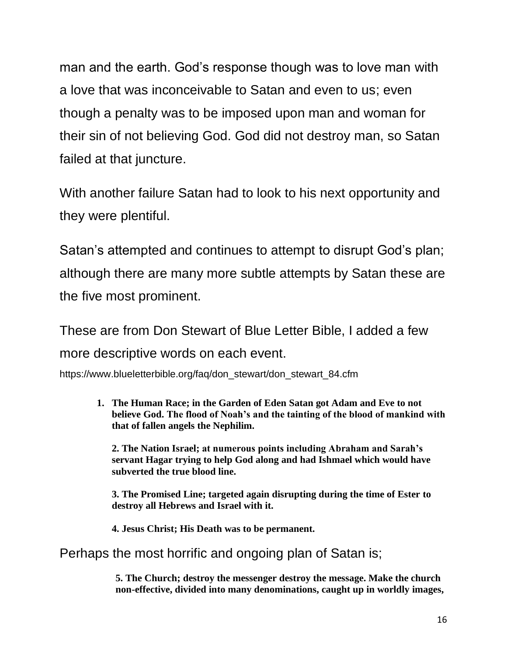man and the earth. God's response though was to love man with a love that was inconceivable to Satan and even to us; even though a penalty was to be imposed upon man and woman for their sin of not believing God. God did not destroy man, so Satan failed at that juncture.

With another failure Satan had to look to his next opportunity and they were plentiful.

Satan's attempted and continues to attempt to disrupt God's plan; although there are many more subtle attempts by Satan these are the five most prominent.

These are from Don Stewart of Blue Letter Bible, I added a few more descriptive words on each event.

https://www.blueletterbible.org/faq/don\_stewart/don\_stewart\_84.cfm

**1. The Human Race; in the Garden of Eden Satan got Adam and Eve to not believe God. The flood of Noah's and the tainting of the blood of mankind with that of fallen angels the Nephilim.** 

**2. The Nation Israel; at numerous points including Abraham and Sarah's servant Hagar trying to help God along and had Ishmael which would have subverted the true blood line.**

**3. The Promised Line; targeted again disrupting during the time of Ester to destroy all Hebrews and Israel with it.**

**4. Jesus Christ; His Death was to be permanent.**

#### Perhaps the most horrific and ongoing plan of Satan is;

**5. The Church; destroy the messenger destroy the message. Make the church non-effective, divided into many denominations, caught up in worldly images,**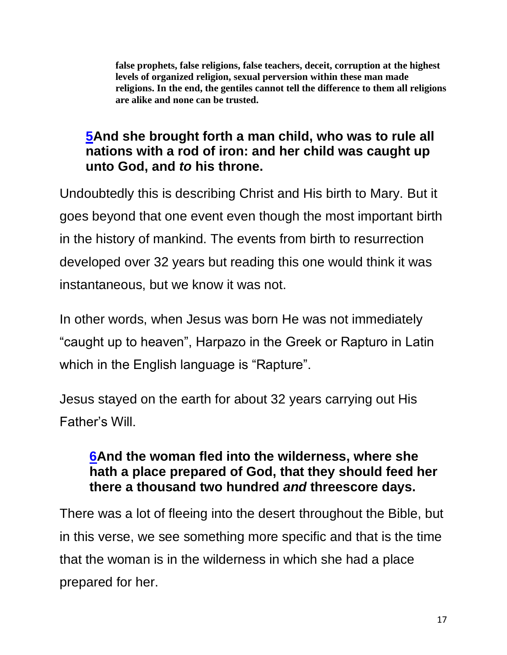**false prophets, false religions, false teachers, deceit, corruption at the highest levels of organized religion, sexual perversion within these man made religions. In the end, the gentiles cannot tell the difference to them all religions are alike and none can be trusted.** 

### **[5A](https://biblehub.com/revelation/12-5.htm)nd she brought forth a man child, who was to rule all nations with a rod of iron: and her child was caught up unto God, and** *to* **his throne.**

Undoubtedly this is describing Christ and His birth to Mary. But it goes beyond that one event even though the most important birth in the history of mankind. The events from birth to resurrection developed over 32 years but reading this one would think it was instantaneous, but we know it was not.

In other words, when Jesus was born He was not immediately "caught up to heaven", Harpazo in the Greek or Rapturo in Latin which in the English language is "Rapture".

Jesus stayed on the earth for about 32 years carrying out His Father's Will.

### **[6A](https://biblehub.com/revelation/12-6.htm)nd the woman fled into the wilderness, where she hath a place prepared of God, that they should feed her there a thousand two hundred** *and* **threescore days.**

There was a lot of fleeing into the desert throughout the Bible, but in this verse, we see something more specific and that is the time that the woman is in the wilderness in which she had a place prepared for her.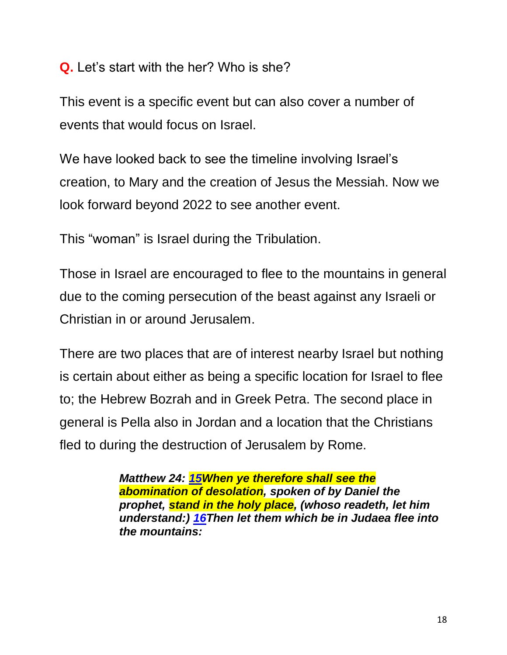**Q.** Let's start with the her? Who is she?

This event is a specific event but can also cover a number of events that would focus on Israel.

We have looked back to see the timeline involving Israel's creation, to Mary and the creation of Jesus the Messiah. Now we look forward beyond 2022 to see another event.

This "woman" is Israel during the Tribulation.

Those in Israel are encouraged to flee to the mountains in general due to the coming persecution of the beast against any Israeli or Christian in or around Jerusalem.

There are two places that are of interest nearby Israel but nothing is certain about either as being a specific location for Israel to flee to; the Hebrew Bozrah and in Greek Petra. The second place in general is Pella also in Jordan and a location that the Christians fled to during the destruction of Jerusalem by Rome.

> *Matthew 24: [15W](https://biblehub.com/matthew/24-15.htm)hen ye therefore shall see the abomination of desolation, spoken of by Daniel the prophet, stand in the holy place, (whoso readeth, let him understand:) [16T](https://biblehub.com/matthew/24-16.htm)hen let them which be in Judaea flee into the mountains:*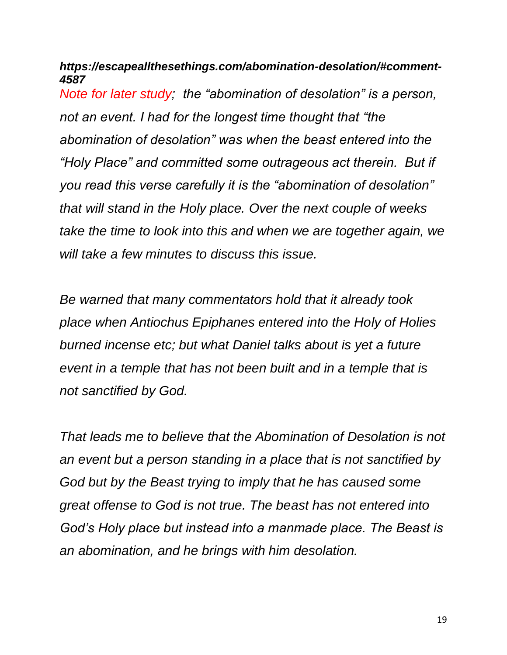*https://escapeallthesethings.com/abomination-desolation/#comment-4587*

*Note for later study; the "abomination of desolation" is a person, not an event. I had for the longest time thought that "the abomination of desolation" was when the beast entered into the "Holy Place" and committed some outrageous act therein. But if you read this verse carefully it is the "abomination of desolation" that will stand in the Holy place. Over the next couple of weeks take the time to look into this and when we are together again, we will take a few minutes to discuss this issue.*

*Be warned that many commentators hold that it already took place when Antiochus Epiphanes entered into the Holy of Holies burned incense etc; but what Daniel talks about is yet a future event in a temple that has not been built and in a temple that is not sanctified by God.* 

*That leads me to believe that the Abomination of Desolation is not an event but a person standing in a place that is not sanctified by God but by the Beast trying to imply that he has caused some great offense to God is not true. The beast has not entered into God's Holy place but instead into a manmade place. The Beast is an abomination, and he brings with him desolation.*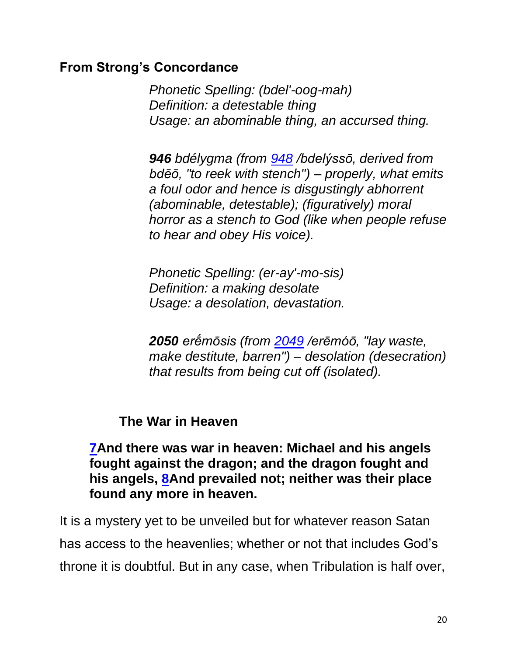### **From Strong's Concordance**

*Phonetic Spelling: (bdel'-oog-mah) Definition: a detestable thing Usage: an abominable thing, an accursed thing.*

*946 bdélygma (from [948](https://biblehub.com/greek/948.htm) /bdelýssō, derived from bdēō, "to reek with stench") – properly, what emits a foul odor and hence is disgustingly abhorrent (abominable, detestable); (figuratively) moral horror as a stench to God (like when people refuse to hear and obey His voice).*

*Phonetic Spelling: (er-ay'-mo-sis) Definition: a making desolate Usage: a desolation, devastation.*

*2050 erḗmōsis (from [2049](https://biblehub.com/greek/2049.htm) /erēmóō, "lay waste, make destitute, barren") – desolation (desecration) that results from being cut off (isolated).* 

**The War in Heaven**

**[7A](https://biblehub.com/revelation/12-7.htm)nd there was war in heaven: Michael and his angels fought against the dragon; and the dragon fought and his angels, [8A](https://biblehub.com/revelation/12-8.htm)nd prevailed not; neither was their place found any more in heaven.**

It is a mystery yet to be unveiled but for whatever reason Satan has access to the heavenlies; whether or not that includes God's throne it is doubtful. But in any case, when Tribulation is half over,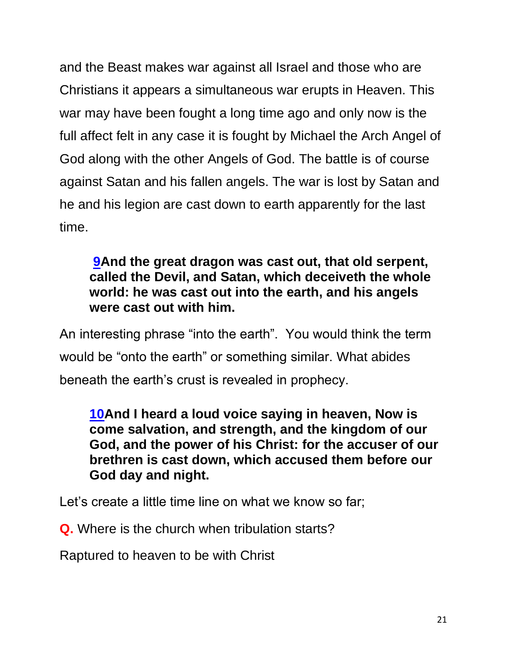and the Beast makes war against all Israel and those who are Christians it appears a simultaneous war erupts in Heaven. This war may have been fought a long time ago and only now is the full affect felt in any case it is fought by Michael the Arch Angel of God along with the other Angels of God. The battle is of course against Satan and his fallen angels. The war is lost by Satan and he and his legion are cast down to earth apparently for the last time.

### **[9A](https://biblehub.com/revelation/12-9.htm)nd the great dragon was cast out, that old serpent, called the Devil, and Satan, which deceiveth the whole world: he was cast out into the earth, and his angels were cast out with him.**

An interesting phrase "into the earth". You would think the term would be "onto the earth" or something similar. What abides beneath the earth's crust is revealed in prophecy.

**[10A](https://biblehub.com/revelation/12-10.htm)nd I heard a loud voice saying in heaven, Now is come salvation, and strength, and the kingdom of our God, and the power of his Christ: for the accuser of our brethren is cast down, which accused them before our God day and night.**

Let's create a little time line on what we know so far;

**Q.** Where is the church when tribulation starts?

Raptured to heaven to be with Christ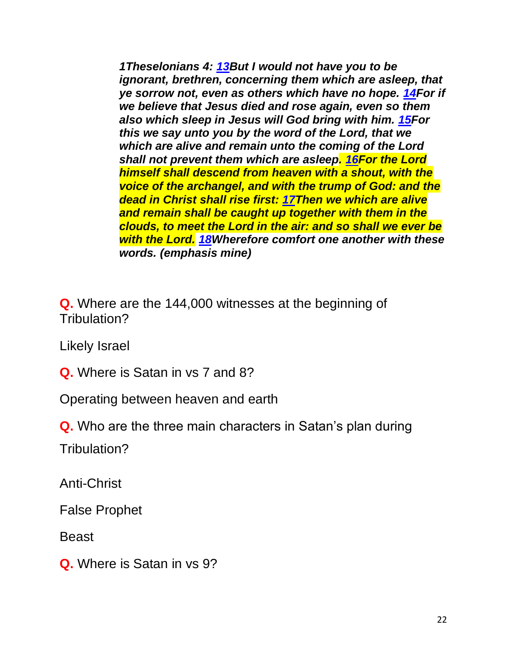*1Theselonians 4: [13B](https://biblehub.com/1_thessalonians/4-13.htm)ut I would not have you to be ignorant, brethren, concerning them which are asleep, that ye sorrow not, even as others which have no hope. [14F](https://biblehub.com/1_thessalonians/4-14.htm)or if we believe that Jesus died and rose again, even so them also which sleep in Jesus will God bring with him. [15F](https://biblehub.com/1_thessalonians/4-15.htm)or this we say unto you by the word of the Lord, that we which are alive and remain unto the coming of the Lord shall not prevent them which are asleep. [16F](https://biblehub.com/1_thessalonians/4-16.htm)or the Lord himself shall descend from heaven with a shout, with the voice of the archangel, and with the trump of God: and the dead in Christ shall rise first: [17T](https://biblehub.com/1_thessalonians/4-17.htm)hen we which are alive and remain shall be caught up together with them in the clouds, to meet the Lord in the air: and so shall we ever be with the Lord. [18W](https://biblehub.com/1_thessalonians/4-18.htm)herefore comfort one another with these words. (emphasis mine)*

**Q.** Where are the 144,000 witnesses at the beginning of Tribulation?

Likely Israel

**Q.** Where is Satan in vs 7 and 8?

Operating between heaven and earth

**Q.** Who are the three main characters in Satan's plan during

Tribulation?

Anti-Christ

False Prophet

Beast

**Q.** Where is Satan in vs 9?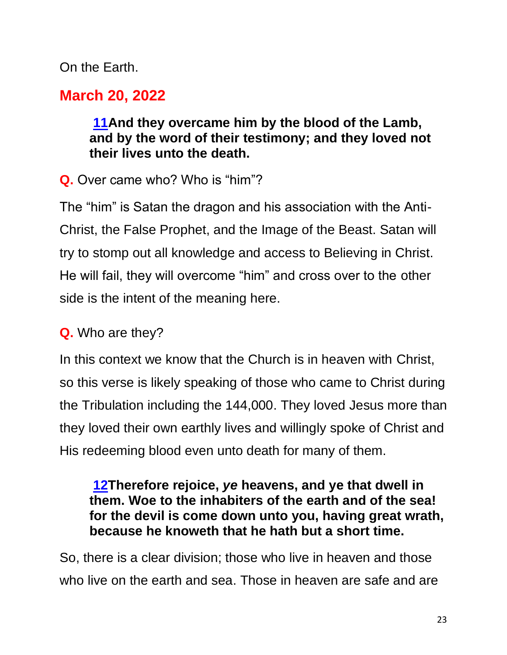On the Earth.

# **March 20, 2022**

### **[11A](https://biblehub.com/revelation/12-11.htm)nd they overcame him by the blood of the Lamb, and by the word of their testimony; and they loved not their lives unto the death.**

**Q.** Over came who? Who is "him"?

The "him" is Satan the dragon and his association with the Anti-Christ, the False Prophet, and the Image of the Beast. Satan will try to stomp out all knowledge and access to Believing in Christ. He will fail, they will overcome "him" and cross over to the other side is the intent of the meaning here.

### **Q.** Who are they?

In this context we know that the Church is in heaven with Christ, so this verse is likely speaking of those who came to Christ during the Tribulation including the 144,000. They loved Jesus more than they loved their own earthly lives and willingly spoke of Christ and His redeeming blood even unto death for many of them.

### **[12T](https://biblehub.com/revelation/12-12.htm)herefore rejoice,** *ye* **heavens, and ye that dwell in them. Woe to the inhabiters of the earth and of the sea! for the devil is come down unto you, having great wrath, because he knoweth that he hath but a short time.**

So, there is a clear division; those who live in heaven and those who live on the earth and sea. Those in heaven are safe and are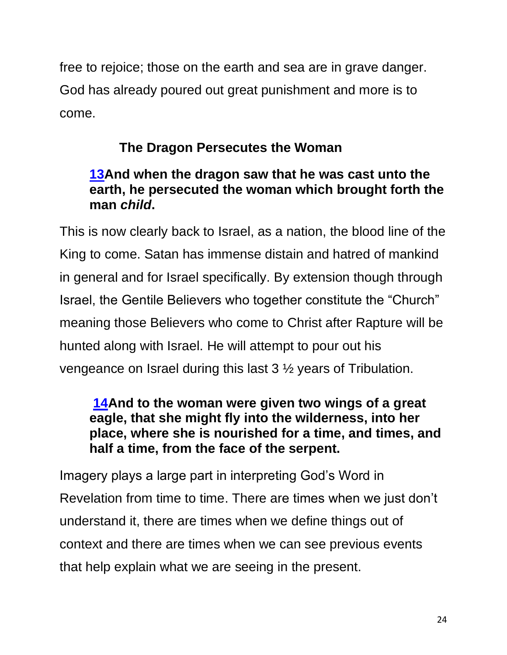free to rejoice; those on the earth and sea are in grave danger. God has already poured out great punishment and more is to come.

# **The Dragon Persecutes the Woman**

### **[13A](https://biblehub.com/revelation/12-13.htm)nd when the dragon saw that he was cast unto the earth, he persecuted the woman which brought forth the man** *child***.**

This is now clearly back to Israel, as a nation, the blood line of the King to come. Satan has immense distain and hatred of mankind in general and for Israel specifically. By extension though through Israel, the Gentile Believers who together constitute the "Church" meaning those Believers who come to Christ after Rapture will be hunted along with Israel. He will attempt to pour out his vengeance on Israel during this last 3 ½ years of Tribulation.

### **[14A](https://biblehub.com/revelation/12-14.htm)nd to the woman were given two wings of a great eagle, that she might fly into the wilderness, into her place, where she is nourished for a time, and times, and half a time, from the face of the serpent.**

Imagery plays a large part in interpreting God's Word in Revelation from time to time. There are times when we just don't understand it, there are times when we define things out of context and there are times when we can see previous events that help explain what we are seeing in the present.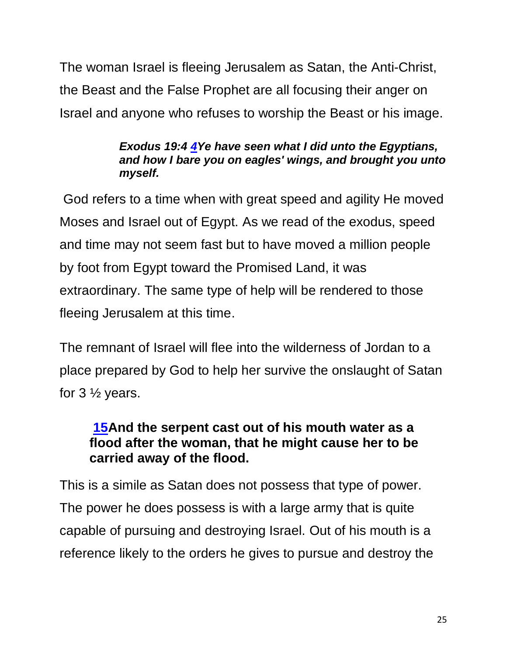The woman Israel is fleeing Jerusalem as Satan, the Anti-Christ, the Beast and the False Prophet are all focusing their anger on Israel and anyone who refuses to worship the Beast or his image.

#### *Exodus 19:4 [4Y](https://biblehub.com/exodus/19-4.htm)e have seen what I did unto the Egyptians, and how I bare you on eagles' wings, and brought you unto myself.*

God refers to a time when with great speed and agility He moved Moses and Israel out of Egypt. As we read of the exodus, speed and time may not seem fast but to have moved a million people by foot from Egypt toward the Promised Land, it was extraordinary. The same type of help will be rendered to those fleeing Jerusalem at this time.

The remnant of Israel will flee into the wilderness of Jordan to a place prepared by God to help her survive the onslaught of Satan for  $3\frac{1}{2}$  years.

### **[15A](https://biblehub.com/revelation/12-15.htm)nd the serpent cast out of his mouth water as a flood after the woman, that he might cause her to be carried away of the flood.**

This is a simile as Satan does not possess that type of power. The power he does possess is with a large army that is quite capable of pursuing and destroying Israel. Out of his mouth is a reference likely to the orders he gives to pursue and destroy the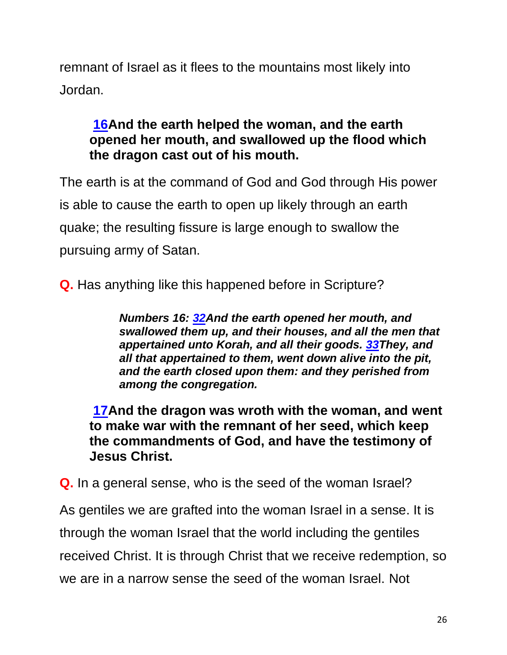remnant of Israel as it flees to the mountains most likely into Jordan.

### **[16A](https://biblehub.com/revelation/12-16.htm)nd the earth helped the woman, and the earth opened her mouth, and swallowed up the flood which the dragon cast out of his mouth.**

The earth is at the command of God and God through His power is able to cause the earth to open up likely through an earth quake; the resulting fissure is large enough to swallow the pursuing army of Satan.

**Q.** Has anything like this happened before in Scripture?

*Numbers 16: [32A](https://biblehub.com/numbers/16-32.htm)nd the earth opened her mouth, and swallowed them up, and their houses, and all the men that appertained unto Korah, and all their goods. [33T](https://biblehub.com/numbers/16-33.htm)hey, and all that appertained to them, went down alive into the pit, and the earth closed upon them: and they perished from among the congregation.* 

**[17A](https://biblehub.com/revelation/12-17.htm)nd the dragon was wroth with the woman, and went to make war with the remnant of her seed, which keep the commandments of God, and have the testimony of Jesus Christ.**

**Q.** In a general sense, who is the seed of the woman Israel?

As gentiles we are grafted into the woman Israel in a sense. It is through the woman Israel that the world including the gentiles received Christ. It is through Christ that we receive redemption, so we are in a narrow sense the seed of the woman Israel. Not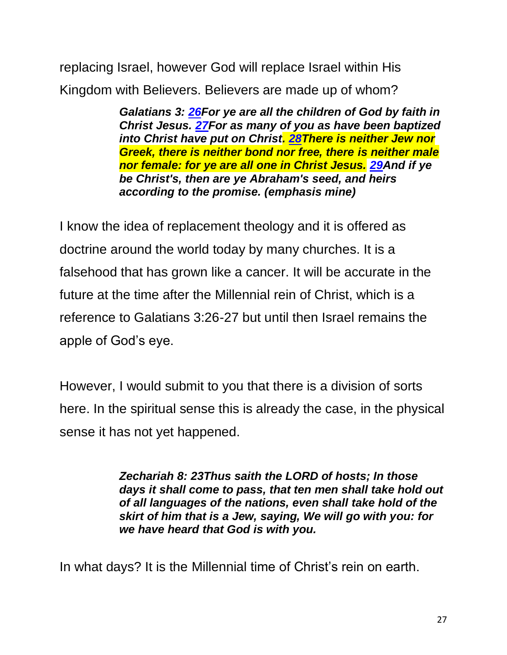replacing Israel, however God will replace Israel within His Kingdom with Believers. Believers are made up of whom?

> *Galatians 3: [26F](https://biblehub.com/galatians/3-26.htm)or ye are all the children of God by faith in Christ Jesus. [27F](https://biblehub.com/galatians/3-27.htm)or as many of you as have been baptized into Christ have put on Christ. [28T](https://biblehub.com/galatians/3-28.htm)here is neither Jew nor Greek, there is neither bond nor free, there is neither male nor female: for ye are all one in Christ Jesus. [29A](https://biblehub.com/galatians/3-29.htm)nd if ye be Christ's, then are ye Abraham's seed, and heirs according to the promise. (emphasis mine)*

I know the idea of replacement theology and it is offered as doctrine around the world today by many churches. It is a falsehood that has grown like a cancer. It will be accurate in the future at the time after the Millennial rein of Christ, which is a reference to Galatians 3:26-27 but until then Israel remains the apple of God's eye.

However, I would submit to you that there is a division of sorts here. In the spiritual sense this is already the case, in the physical sense it has not yet happened.

> *Zechariah 8: 23Thus saith the LORD of hosts; In those days it shall come to pass, that ten men shall take hold out of all languages of the nations, even shall take hold of the skirt of him that is a Jew, saying, We will go with you: for we have heard that God is with you.*

In what days? It is the Millennial time of Christ's rein on earth.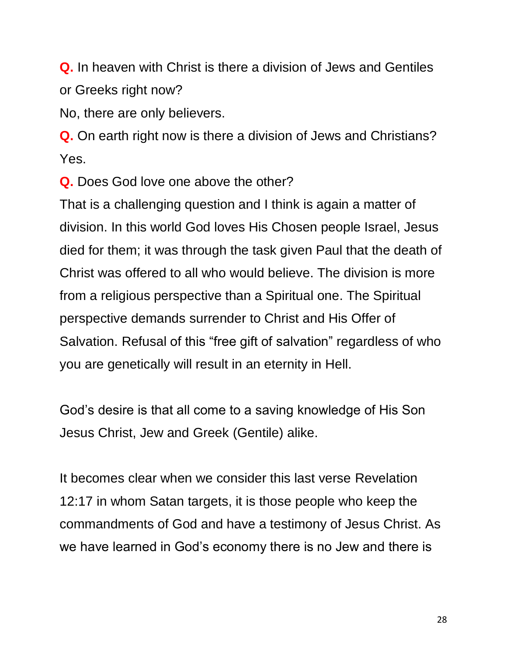**Q.** In heaven with Christ is there a division of Jews and Gentiles or Greeks right now?

No, there are only believers.

**Q.** On earth right now is there a division of Jews and Christians? Yes.

**Q.** Does God love one above the other?

That is a challenging question and I think is again a matter of division. In this world God loves His Chosen people Israel, Jesus died for them; it was through the task given Paul that the death of Christ was offered to all who would believe. The division is more from a religious perspective than a Spiritual one. The Spiritual perspective demands surrender to Christ and His Offer of Salvation. Refusal of this "free gift of salvation" regardless of who you are genetically will result in an eternity in Hell.

God's desire is that all come to a saving knowledge of His Son Jesus Christ, Jew and Greek (Gentile) alike.

It becomes clear when we consider this last verse Revelation 12:17 in whom Satan targets, it is those people who keep the commandments of God and have a testimony of Jesus Christ. As we have learned in God's economy there is no Jew and there is